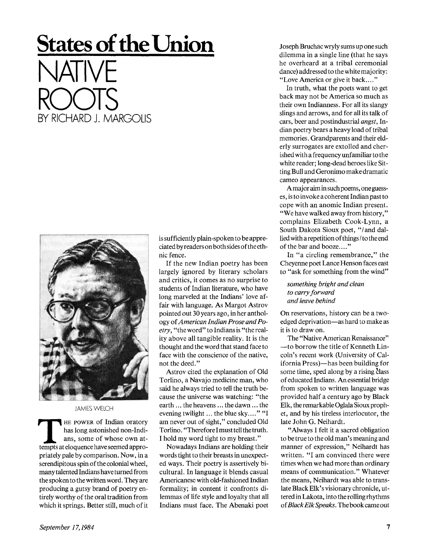## **States of the Union**  NATIVE ROOTS BY RICHARD J. MARGOLIS



JAMES WELCH

THE POWER OF Indian oratory<br>has long astonished non-Indi-<br>ans, some of whose own at-<br>tempts at eloquence have seemed appro-HE POWER of Indian oratory has long astonished non-Indians, some of whose own atpriately pale by comparison. Now, in a serendipitous spin of the colonial wheel, many talented Indians have turned from the spoken to the written word. They are producing a gutsy brand of poetry entirely worthy of the oral tradition from which it springs. Better still, much of it is sufficiently plain-spoken to be appreciated by readers on both sides of the ethnic fence.

If the new Indian poetry has been largely ignored by literary scholars and critics, it comes as no surprise to students of Indian literature, who have long marveled at the Indians' love affair with language. As Margot Astrov pointed out 30 years ago, in her anthology of *American Indian Prose and Poetry,* "the word" to Indians is "the reality above all tangible reality. It is the thought and the word that stand face to face with the conscience of the native, not the deed."

Astrov cited the explanation of Old Torlino, a Navajo medicine man, who said he always tried to tell the truth because the universe was watching: "the earth... the heavens... the dawn... the evening twilight... the blue sky...." "I am never out of sight," concluded Old Torlino. "Therefore I must tell the truth. I hold my word tight to my breast."

Nowadays Indians are holding their words tight to their breasts in unexpected ways. Their poetry is assertively bicultural. In language it blends casual Americanese with old-fashioned Indian formality; in content it confronts dilemmas of life style and loyalty that all Indians must face. The Abenaki poet Joseph Bruchac wryly sums up one such dilemma in a single line (that he says he overheard at a tribal ceremonial dance) addressed to the white majority: "Love America or give it back...."

In truth, what the poets want to get back may not be America so much as their own Indianness. For all its slangy slings and arrows, and for all its talk of cars, beer and postindustrial *angst,* Indian poetry bears a heavy load of tribal memories. Grandparents and their elderly surrogates are extolled and cherished with a frequency unfamiliar to the white reader; long-dead heroes like Sitting Bull and Geronimo make dramatic cameo appearances.

A major aim in such poems, one guesses, is to invoke a coherent Indian past to cope with an anomic Indian present. "We have walked away from history," complains Elizabeth Cook-Lynn, a South Dakota Sioux poet, "/and dallied with a repetition of things/to the end of the bar and booze...."

In "a circling remembrance," the Cheyenne poet Lance Henson faces east to "ask for something from the wind"

*something bright and clean to carry forward and leave behind* 

On reservations, history can be a twoedged deprivation—as hard to make as it is to draw on.

The "Native American Renaissance" —to borrow the title of Kenneth Lincoln's recent work (University of California Press)—has been building for some time, sped along by a rising class of educated Indians. An essential bridge from spoken to written language was provided half a century ago by Black Elk, the remarkable Oglala Sioux prophet, and by his tireless interlocutor, the late John G. Neihardt.

"Always I felt it a sacred obligation to be true to the old man's meaning and manner of expression," Neihardt has written. "I am convinced there were times when we had more than ordinary means of communication." Whatever the means, Neihardt was able to translate Black Elk's visionary chronicle, uttered in Lakota, into the rolling rhythms of *Black Elk Speaks.* The book came out